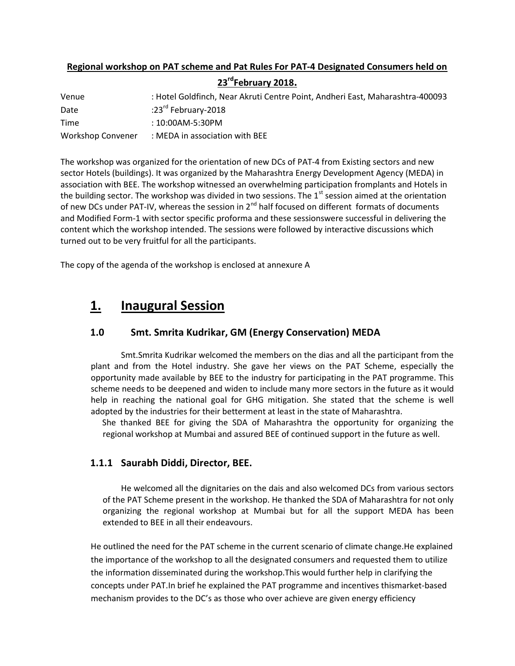### Regional workshop on PAT scheme and Pat Rules For PAT-4 Designated Consumers held on 23<sup>rd</sup>February 2018.

| Venue             | : Hotel Goldfinch, Near Akruti Centre Point, Andheri East, Maharashtra-400093 |
|-------------------|-------------------------------------------------------------------------------|
| Date              | :23 $^{\text{rd}}$ February-2018                                              |
| Time              | $: 10:00$ AM-5:30PM                                                           |
| Workshop Convener | : MEDA in association with BEE                                                |

The workshop was organized for the orientation of new DCs of PAT-4 from Existing sectors and new sector Hotels (buildings). It was organized by the Maharashtra Energy Development Agency (MEDA) in association with BEE. The workshop witnessed an overwhelming participation fromplants and Hotels in the building sector. The workshop was divided in two sessions. The  $1<sup>st</sup>$  session aimed at the orientation of new DCs under PAT-IV, whereas the session in 2<sup>nd</sup> half focused on different formats of documents and Modified Form-1 with sector specific proforma and these sessionswere successful in delivering the content which the workshop intended. The sessions were followed by interactive discussions which turned out to be very fruitful for all the participants.

The copy of the agenda of the workshop is enclosed at annexure A

## 1. Inaugural Session

#### 1.0 Smt. Smrita Kudrikar, GM (Energy Conservation) MEDA

Smt.Smrita Kudrikar welcomed the members on the dias and all the participant from the plant and from the Hotel industry. She gave her views on the PAT Scheme, especially the opportunity made available by BEE to the industry for participating in the PAT programme. This scheme needs to be deepened and widen to include many more sectors in the future as it would help in reaching the national goal for GHG mitigation. She stated that the scheme is well adopted by the industries for their betterment at least in the state of Maharashtra.

She thanked BEE for giving the SDA of Maharashtra the opportunity for organizing the regional workshop at Mumbai and assured BEE of continued support in the future as well.

#### 1.1.1 Saurabh Diddi, Director, BEE.

He welcomed all the dignitaries on the dais and also welcomed DCs from various sectors of the PAT Scheme present in the workshop. He thanked the SDA of Maharashtra for not only organizing the regional workshop at Mumbai but for all the support MEDA has been extended to BEE in all their endeavours.

 He outlined the need for the PAT scheme in the current scenario of climate change.He explained the importance of the workshop to all the designated consumers and requested them to utilize the information disseminated during the workshop.This would further help in clarifying the concepts under PAT.In brief he explained the PAT programme and incentives thismarket-based mechanism provides to the DC's as those who over achieve are given energy efficiency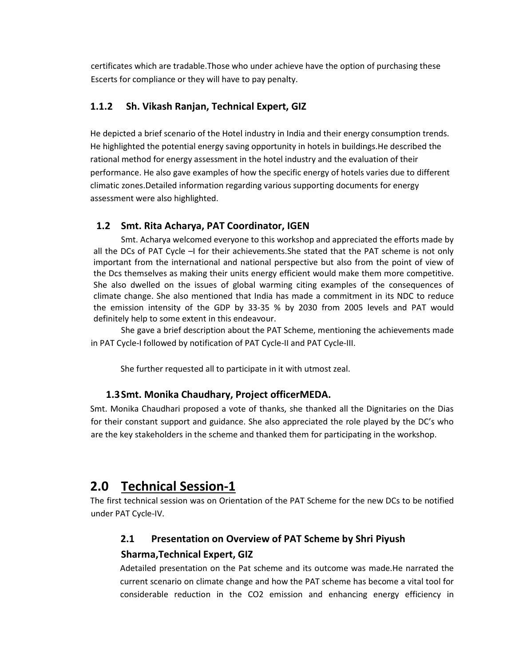certificates which are tradable.Those who under achieve have the option of purchasing these Escerts for compliance or they will have to pay penalty.

#### 1.1.2 Sh. Vikash Ranjan, Technical Expert, GIZ

He depicted a brief scenario of the Hotel industry in India and their energy consumption trends. He highlighted the potential energy saving opportunity in hotels in buildings.He described the rational method for energy assessment in the hotel industry and the evaluation of their performance. He also gave examples of how the specific energy of hotels varies due to different climatic zones.Detailed information regarding various supporting documents for energy assessment were also highlighted.

#### 1.2 Smt. Rita Acharya, PAT Coordinator, IGEN

Smt. Acharya welcomed everyone to this workshop and appreciated the efforts made by all the DCs of PAT Cycle –I for their achievements. She stated that the PAT scheme is not only important from the international and national perspective but also from the point of view of the Dcs themselves as making their units energy efficient would make them more competitive. She also dwelled on the issues of global warming citing examples of the consequences of climate change. She also mentioned that India has made a commitment in its NDC to reduce the emission intensity of the GDP by 33-35 % by 2030 from 2005 levels and PAT would definitely help to some extent in this endeavour.

She gave a brief description about the PAT Scheme, mentioning the achievements made in PAT Cycle-I followed by notification of PAT Cycle-II and PAT Cycle-III.

She further requested all to participate in it with utmost zeal.

#### 1.3Smt. Monika Chaudhary, Project officerMEDA.

Smt. Monika Chaudhari proposed a vote of thanks, she thanked all the Dignitaries on the Dias for their constant support and guidance. She also appreciated the role played by the DC's who are the key stakeholders in the scheme and thanked them for participating in the workshop.

## 2.0 Technical Session-1

The first technical session was on Orientation of the PAT Scheme for the new DCs to be notified under PAT Cycle-IV.

#### 2.1 Presentation on Overview of PAT Scheme by Shri Piyush

#### Sharma,Technical Expert, GIZ

Adetailed presentation on the Pat scheme and its outcome was made.He narrated the current scenario on climate change and how the PAT scheme has become a vital tool for considerable reduction in the CO2 emission and enhancing energy efficiency in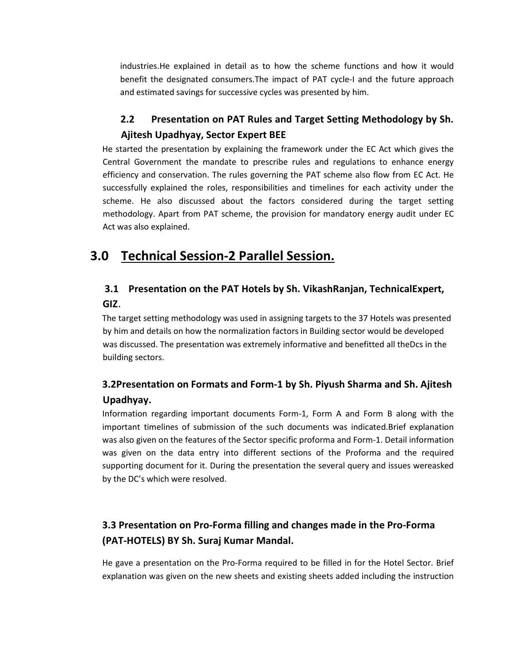industries.He explained in detail as to how the scheme functions and how it would benefit the designated consumers.The impact of PAT cycle-I and the future approach and estimated savings for successive cycles was presented by him.

### 2.2 Presentation on PAT Rules and Target Setting Methodology by Sh. Ajitesh Upadhyay, Sector Expert BEE

He started the presentation by explaining the framework under the EC Act which gives the Central Government the mandate to prescribe rules and regulations to enhance energy efficiency and conservation. The rules governing the PAT scheme also flow from EC Act. He successfully explained the roles, responsibilities and timelines for each activity under the scheme. He also discussed about the factors considered during the target setting methodology. Apart from PAT scheme, the provision for mandatory energy audit under EC Act was also explained.

## 3.0 Technical Session-2 Parallel Session.

### 3.1 Presentation on the PAT Hotels by Sh. VikashRanjan, TechnicalExpert, GIZ.

The target setting methodology was used in assigning targets to the 37 Hotels was presented by him and details on how the normalization factors in Building sector would be developed was discussed. The presentation was extremely informative and benefitted all theDcs in the building sectors.

## 3.2Presentation on Formats and Form-1 by Sh. Piyush Sharma and Sh. Ajitesh Upadhyay.

Information regarding important documents Form-1, Form A and Form B along with the important timelines of submission of the such documents was indicated.Brief explanation was also given on the features of the Sector specific proforma and Form-1. Detail information was given on the data entry into different sections of the Proforma and the required supporting document for it. During the presentation the several query and issues wereasked by the DC's which were resolved.

## 3.3 Presentation on Pro-Forma filling and changes made in the Pro-Forma (PAT-HOTELS) BY Sh. Suraj Kumar Mandal.

He gave a presentation on the Pro-Forma required to be filled in for the Hotel Sector. Brief explanation was given on the new sheets and existing sheets added including the instruction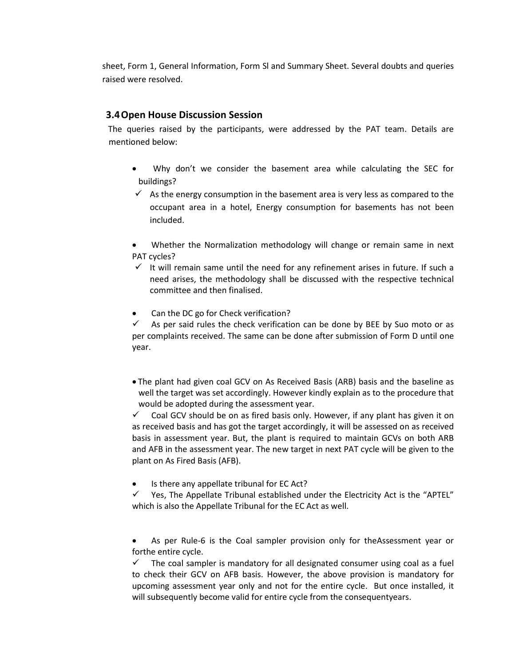sheet, Form 1, General Information, Form Sl and Summary Sheet. Several doubts and queries raised were resolved.

#### 3.4Open House Discussion Session

The queries raised by the participants, were addressed by the PAT team. Details are mentioned below:

- Why don't we consider the basement area while calculating the SEC for buildings?
- $\checkmark$  As the energy consumption in the basement area is very less as compared to the occupant area in a hotel, Energy consumption for basements has not been included.
- Whether the Normalization methodology will change or remain same in next PAT cycles?
- $\checkmark$  It will remain same until the need for any refinement arises in future. If such a need arises, the methodology shall be discussed with the respective technical committee and then finalised.
- Can the DC go for Check verification?

 $\checkmark$  As per said rules the check verification can be done by BEE by Suo moto or as per complaints received. The same can be done after submission of Form D until one year.

 The plant had given coal GCV on As Received Basis (ARB) basis and the baseline as well the target was set accordingly. However kindly explain as to the procedure that would be adopted during the assessment year.

 $\checkmark$  Coal GCV should be on as fired basis only. However, if any plant has given it on as received basis and has got the target accordingly, it will be assessed on as received basis in assessment year. But, the plant is required to maintain GCVs on both ARB and AFB in the assessment year. The new target in next PAT cycle will be given to the plant on As Fired Basis (AFB).

Is there any appellate tribunal for EC Act?

 $\checkmark$  Yes, The Appellate Tribunal established under the Electricity Act is the "APTEL" which is also the Appellate Tribunal for the EC Act as well.

 As per Rule-6 is the Coal sampler provision only for theAssessment year or forthe entire cycle.

 $\checkmark$  The coal sampler is mandatory for all designated consumer using coal as a fuel to check their GCV on AFB basis. However, the above provision is mandatory for upcoming assessment year only and not for the entire cycle. But once installed, it will subsequently become valid for entire cycle from the consequentyears.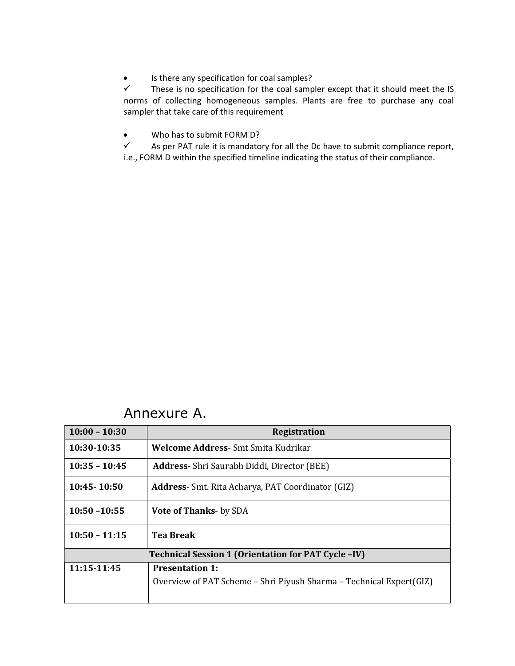• Is there any specification for coal samples?

 $\checkmark$  These is no specification for the coal sampler except that it should meet the IS norms of collecting homogeneous samples. Plants are free to purchase any coal sampler that take care of this requirement

Who has to submit FORM D?

 $\checkmark$  As per PAT rule it is mandatory for all the Dc have to submit compliance report, i.e., FORM D within the specified timeline indicating the status of their compliance.

# Annexure A.

| $10:00 - 10:30$                                            | Registration                                                        |
|------------------------------------------------------------|---------------------------------------------------------------------|
| 10:30-10:35                                                | Welcome Address- Smt Smita Kudrikar                                 |
| $10:35 - 10:45$                                            | <b>Address-</b> Shri Saurabh Diddi, Director (BEE)                  |
| $10:45 - 10:50$                                            | Address- Smt. Rita Acharya, PAT Coordinator (GIZ)                   |
| $10:50 - 10:55$                                            | <b>Vote of Thanks</b> - by SDA                                      |
| $10:50 - 11:15$                                            | <b>Tea Break</b>                                                    |
| <b>Technical Session 1 (Orientation for PAT Cycle -IV)</b> |                                                                     |
| 11:15-11:45                                                | <b>Presentation 1:</b>                                              |
|                                                            | Overview of PAT Scheme - Shri Piyush Sharma - Technical Expert(GIZ) |